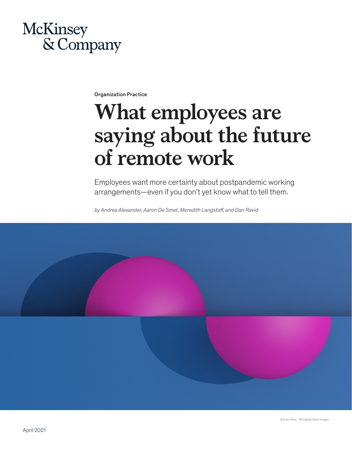## McKinsey & Company

Organization Practice

# **What employees are saying about the future of remote work**

Employees want more certainty about postpandemic working arrangements—even if you don't yet know what to tell them.

*by Andrea Alexander, Aaron De Smet, Meredith Langstaff, and Dan Ravid*

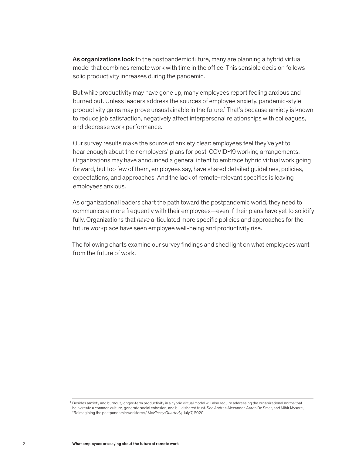As organizations look to the postpandemic future, many are planning a hybrid virtual model that combines remote work with time in the office. This sensible decision follows solid productivity increases during the pandemic.

But while productivity may have gone up, many employees report feeling anxious and burned out. Unless leaders address the sources of employee anxiety, pandemic-style productivity gains may prove unsustainable in the future.<sup>1</sup> That's because anxiety is known to reduce job satisfaction, negatively affect interpersonal relationships with colleagues, and decrease work performance.

Our survey results make the source of anxiety clear: employees feel they've yet to hear enough about their employers' plans for post-COVID-19 working arrangements. Organizations may have announced a general intent to embrace hybrid virtual work going forward, but too few of them, employees say, have shared detailed guidelines, policies, expectations, and approaches. And the lack of remote-relevant specifics is leaving employees anxious.

As organizational leaders chart the path toward the postpandemic world, they need to communicate more frequently with their employees—even if their plans have yet to solidify fully. Organizations that *have* articulated more specific policies and approaches for the future workplace have seen employee well-being and productivity rise.

The following charts examine our survey findings and shed light on what employees want from the future of work.

<sup>1</sup> Besides anxiety and burnout, longer-term productivity in a hybrid virtual model will also require addressing the organizational norms that help create a common culture, generate social cohesion, and build shared trust. See Andrea Alexander, Aaron De Smet, and Mihir Mysore, "Reimagining the postpandemic workforce," *McKinsey Quarterly*, July 7, 2020.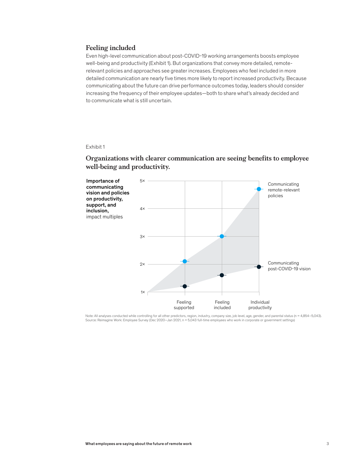## **Feeling included**

Even high-level communication about post-COVID-19 working arrangements boosts employee well-being and productivity (Exhibit 1). But organizations that convey more detailed, remoterelevant policies and approaches see greater increases. Employees who feel included in more detailed communication are nearly five times more likely to report increased productivity. Because communicating about the future can drive performance outcomes today, leaders should consider increasing the frequency of their employee updates—both to share what's already decided and to communicate what is still uncertain.

#### Exhibit 1

## Organizations with clearer communication are seeing benefits to employee well-being and productivity. **well-being and productivity.**



Note: All analyses conducted while controlling for all other predictors, region, industry, company size, job level, age, gender, and parental status (n = 4,854–5,043).<br>Source: Reimagine Work: Employee Survey (Dec 2020–Jan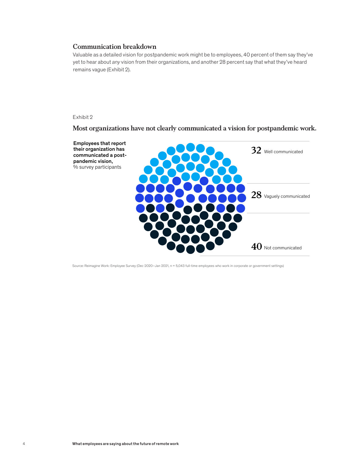## **Communication breakdown**

Valuable as a detailed vision for postpandemic work might be to employees, 40 percent of them say they've yet to hear about *any* vision from their organizations, and another 28 percent say that what they've heard remains vague (Exhibit 2).

## Exhibit 2

 $M_{\rm{max}}$  organizations have not communicated a vision for communicated a vision for communicated a vision for  $\alpha$ Most organizations have not clearly communicated a vision for postpandemic work.

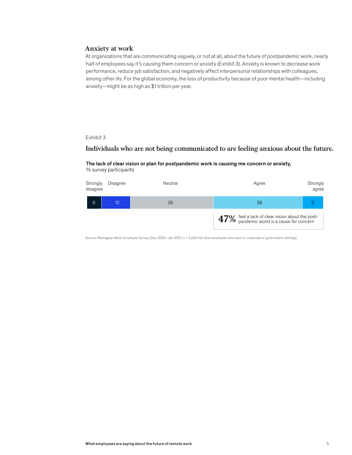## **Anxiety at work**

At organizations that are communicating vaguely, or not at all, about the future of postpandemic work, nearly half of employees say it's causing them concern or anxiety (Exhibit 3). Anxiety is known to decrease work performance, reduce job satisfaction, and negatively affect interpersonal relationships with colleagues, among other ills. For the global economy, the loss of productivity because of poor mental health—including anxiety—might be as high as \$1 trillion per year.

## Exhibit 3

## Individuals who are not being communicated to are feeling anxious about the future. **Individuals who are not being communicated to are feeling anxious about the future.**

### The lack of clear vision or plan for postpandemic work is causing me concern or anxiety, % survey participants

| Strongly<br>disagree | Disagree | Neutral | Agree                                                                                         | Strongly<br>agree |
|----------------------|----------|---------|-----------------------------------------------------------------------------------------------|-------------------|
| 6                    | 12       | 35      | 38                                                                                            |                   |
|                      |          |         | 47% feel a lack of clear vision about the post-<br>only pandemic world is a cause for concern |                   |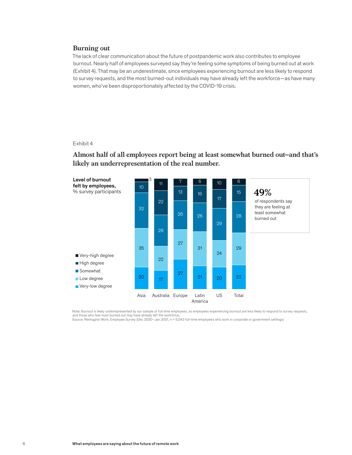## **Burning out**

The lack of clear communication about the future of postpandemic work also contributes to employee burnout. Nearly half of employees surveyed say they're feeling some symptoms of being burned out at work (Exhibit 4). That may be an underestimate, since employees experiencing burnout are less likely to respond to survey requests, and the most burned-out individuals may have already left the workforce—as have many women, who've been disproportionately affected by the COVID-19 crisis.

#### Exhibit 4  $EXIIIDI4$

## Almost half of all employees report being at least somewhat burned out– **Almost half of all employees report being at least somewhat burned out–and that's**  likely an underrepresentation of the real number.



Note: Burnout is likely underrepresented by our sample of full-time employees, as employees experiencing burnout are less likely to respond to survey requests,<br>and those who feel most burned out may have already left the w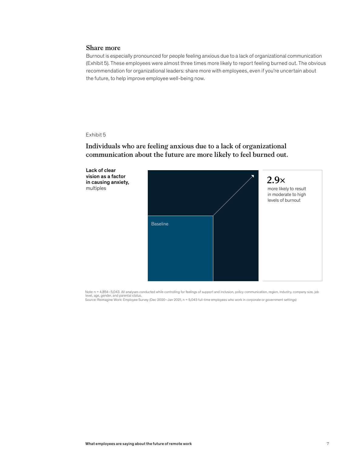## **Share more**

Burnout is especially pronounced for people feeling anxious due to a lack of organizational communication (Exhibit 5). These employees were almost three times more likely to report feeling burned out. The obvious recommendation for organizational leaders: share more with employees, even if you're uncertain about the future, to help improve employee well-being now.

#### Exhibit 5 Exhibit 5

## Individuals who are feeling anxious due to a lack of organizational **Individuals who are feeling anxious due to a lack of organizational**  communication about the future are more likely to feel burned out. **communication about the future are more likely to feel burned out.**



Note: n = 4,854-5,043. All analyses conducted while controlling for feelings of support and inclusion, policy communication, region, industry, company size, job level, age, gender, and parental status. Source: Reimagine Work: Employee Survey (Dec 2020–Jan 2021, n = 5,043 full-time employees who work in corporate or government settings)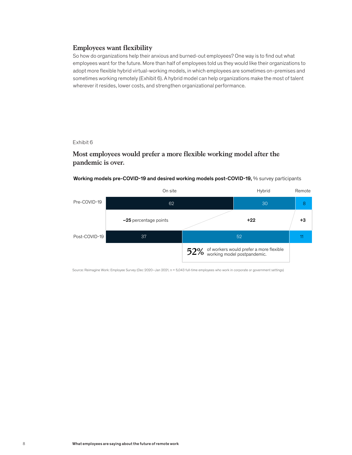## **Employees want flexibility**

So how do organizations help their anxious and burned-out employees? One way is to find out what employees want for the future. More than half of employees told us they would like their organizations to adopt more flexible hybrid virtual-working models, in which employees are sometimes on-premises and sometimes working remotely (Exhibit 6). A hybrid model can help organizations make the most of talent wherever it resides, lower costs, and strengthen organizational performance.

#### Exhibit 6  $ExnuU$

## Most employees would prefer a more flexible working model after the pandemic is over. **pandemic is over.**

## Working models pre-COVID-19 and desired working models post-COVID-19, % survey participants

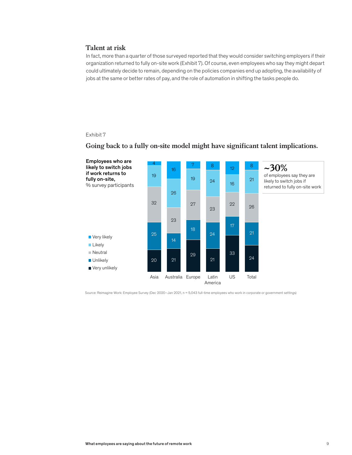## **Talent at risk**

In fact, more than a quarter of those surveyed reported that they would consider switching employers if their organization returned to fully on-site work (Exhibit 7). Of course, even employees who say they might depart could ultimately decide to remain, depending on the policies companies end up adopting, the availability of jobs at the same or better rates of pay, and the role of automation in shifting the tasks people do.

## Exhibit 7



## $G_{\rm eff}$  back to a fully on-site model might have significations. The might have significations. **Going back to a fully on-site model might have significant talent implications.**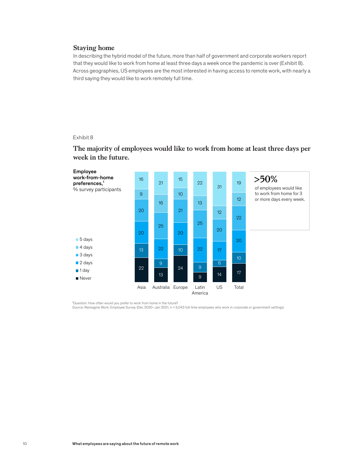## **Staying home**

In describing the hybrid model of the future, more than half of government and corporate workers report that they would like to work from home at least three days a week once the pandemic is over (Exhibit 8). Across geographies, US employees are the most interested in having access to remote work, with nearly a third saying they would like to work remotely full time.

#### Exhibit 8 Fxhibit 8



The majority of employees would like to work from home at least three days per **The majority of employees would like to work from home at least three days per**  week in the future. **week in the future.** 

'Question: How often would you prefer to work from home in the future?<br>Source: Reimagine Work: Employee Survey (Dec 2020–Jan 2021, n = 5,043 full-time employees who work in corporate or government settings)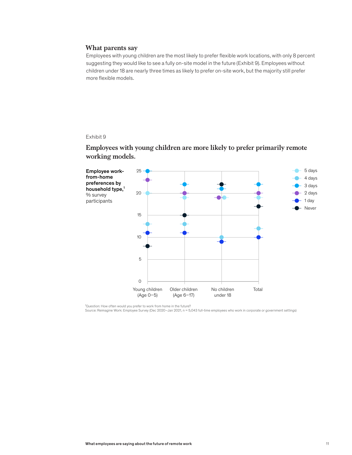## **What parents say**

Employees with young children are the most likely to prefer flexible work locations, with only 8 percent suggesting they would like to see a fully on-site model in the future (Exhibit 9). Employees without children under 18 are nearly three times as likely to prefer on-site work, but the majority still prefer more flexible models.

#### Exhibit 9 Exhibit 9

## Employees with young children are more likely to prefer primarily remote **Employees with young children are more likely to prefer primarily remote**  working models. **working models.**



<sup>1</sup>Question: How often would you prefer to work from home in the future?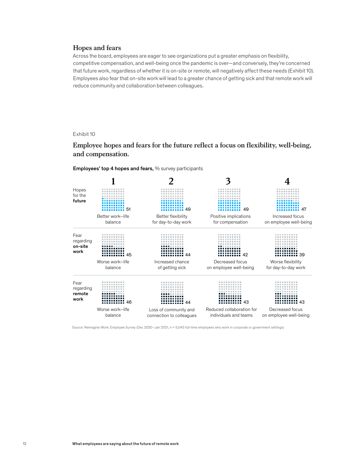## **Hopes and fears**

Across the board, employees are eager to see organizations put a greater emphasis on flexibility, competitive compensation, and well-being once the pandemic is over—and conversely, they're concerned that future work, regardless of whether it is on-site or remote, will negatively affect these needs (Exhibit 10). Employees also fear that on-site work will lead to a greater chance of getting sick and that remote work will reduce community and collaboration between colleagues.

#### Exhibit 10 Exhibit 10

Employee hopes and fears for the future reflect a focus on flexibility, well-being, and compensation.



Employees' top 4 hopes and fears, % survey participants